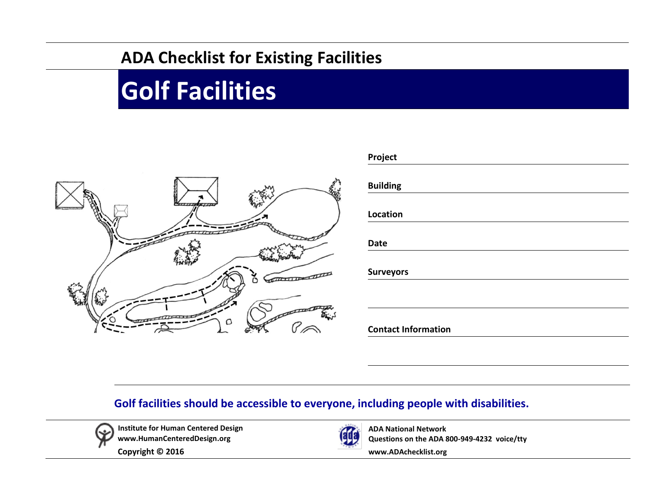## **ADA Checklist for Existing Facilities**

## **Golf Facilities**



| Project                    |  |  |  |
|----------------------------|--|--|--|
| <b>Building</b>            |  |  |  |
| Location                   |  |  |  |
| <b>Date</b>                |  |  |  |
| <b>Surveyors</b>           |  |  |  |
|                            |  |  |  |
| <b>Contact Information</b> |  |  |  |

## **Golf facilities should be accessible to everyone, including people with disabilities.**



**Institute for Human Centered Design [www.HumanCenteredDesign.org](http://www.humancentereddesign.org/)**

**Copyright © 2016** 



**ADA National Network Questions on the ADA 800-949-4232 voice/tty**

**[www.ADAchecklist.org](http://www.adachecklist.org/)**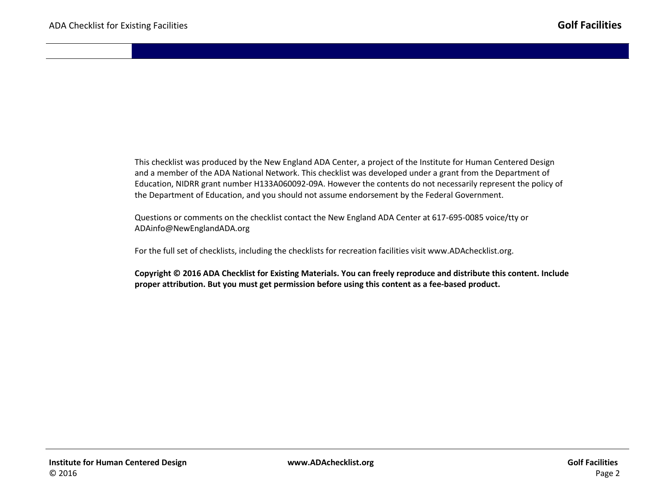This checklist was produced by the New England ADA Center, a project of the Institute for Human Centered Design and a member of the ADA National Network. This checklist was developed under a grant from the Department of Education, NIDRR grant number H133A060092-09A. However the contents do not necessarily represent the policy of the Department of Education, and you should not assume endorsement by the Federal Government.

Questions or comments on the checklist contact the New England ADA Center at 617-695-0085 voice/tty or [ADAinfo@NewEnglandADA.org](mailto:ADAinfo@NewEnglandADA.org)

For the full set of checklists, including the checklists for recreation facilities visit [www.ADAchecklist.org.](http://www.adachecklist.org/)

**Copyright © 2016 ADA Checklist for Existing Materials. You can freely reproduce and distribute this content. Include proper attribution. But you must get permission before using this content as a fee-based product.**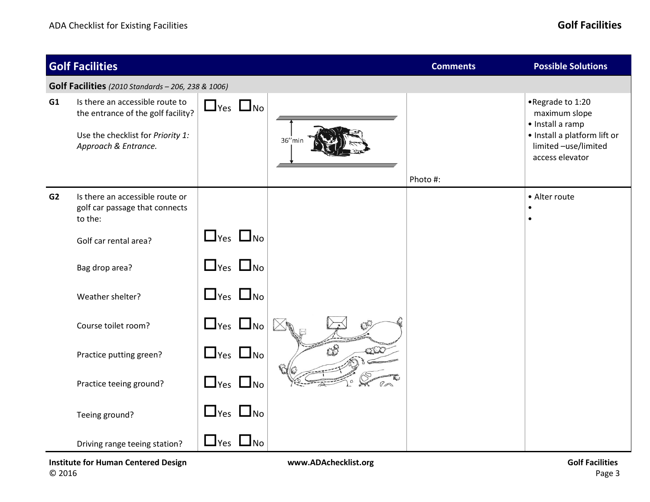|                                                           | <b>Golf Facilities</b>                                                                                                             |                      |  |        | <b>Comments</b> | <b>Possible Solutions</b>                                                                                                        |
|-----------------------------------------------------------|------------------------------------------------------------------------------------------------------------------------------------|----------------------|--|--------|-----------------|----------------------------------------------------------------------------------------------------------------------------------|
| <b>Golf Facilities</b> (2010 Standards - 206, 238 & 1006) |                                                                                                                                    |                      |  |        |                 |                                                                                                                                  |
| G1                                                        | Is there an accessible route to<br>the entrance of the golf facility?<br>Use the checklist for Priority 1:<br>Approach & Entrance. | $\Box$ Yes $\Box$ No |  | 36"min | Photo #:        | •Regrade to 1:20<br>maximum slope<br>· Install a ramp<br>· Install a platform lift or<br>limited -use/limited<br>access elevator |
| G2                                                        | Is there an accessible route or<br>golf car passage that connects<br>to the:                                                       |                      |  |        |                 | • Alter route<br>$\bullet$<br>$\bullet$                                                                                          |
|                                                           | Golf car rental area?                                                                                                              | $\Box$ Yes $\Box$ No |  |        |                 |                                                                                                                                  |
|                                                           | Bag drop area?                                                                                                                     | $\Box$ Yes $\Box$ No |  |        |                 |                                                                                                                                  |
|                                                           | Weather shelter?                                                                                                                   | $\Box$ Yes $\Box$ No |  |        |                 |                                                                                                                                  |
|                                                           | Course toilet room?                                                                                                                | $\Box$ Yes $\Box$ No |  | 心的     |                 |                                                                                                                                  |
|                                                           | Practice putting green?                                                                                                            | $\Box$ Yes $\Box$ No |  |        |                 |                                                                                                                                  |
|                                                           | Practice teeing ground?                                                                                                            | $\Box$ Yes $\Box$ No |  |        |                 |                                                                                                                                  |
|                                                           | Teeing ground?                                                                                                                     | $\Box$ Yes $\Box$ No |  |        |                 |                                                                                                                                  |
|                                                           | Driving range teeing station?                                                                                                      | $\Box$ Yes $\Box$ No |  |        |                 |                                                                                                                                  |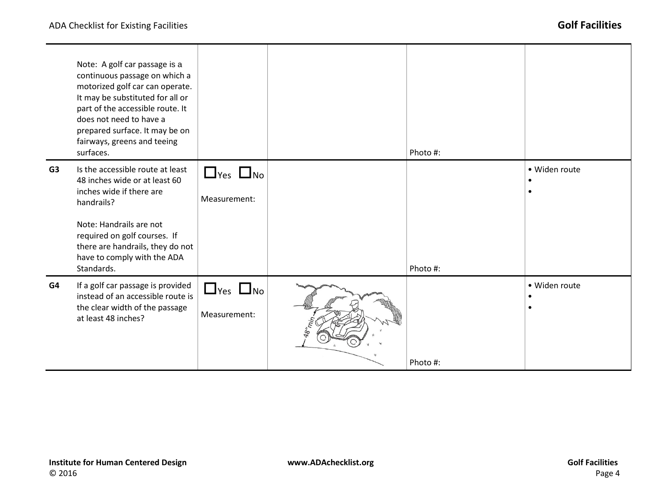|                | Note: A golf car passage is a<br>continuous passage on which a<br>motorized golf car can operate.<br>It may be substituted for all or<br>part of the accessible route. It<br>does not need to have a<br>prepared surface. It may be on<br>fairways, greens and teeing<br>surfaces. |                                      | Photo #: |               |
|----------------|------------------------------------------------------------------------------------------------------------------------------------------------------------------------------------------------------------------------------------------------------------------------------------|--------------------------------------|----------|---------------|
| G <sub>3</sub> | Is the accessible route at least<br>48 inches wide or at least 60<br>inches wide if there are<br>handrails?<br>Note: Handrails are not<br>required on golf courses. If<br>there are handrails, they do not<br>have to comply with the ADA<br>Standards.                            | $\Box$ Yes $\Box$ No<br>Measurement: | Photo #: | · Widen route |
| G4             | If a golf car passage is provided<br>instead of an accessible route is<br>the clear width of the passage<br>at least 48 inches?                                                                                                                                                    | $\Box$ Yes $\Box$ No<br>Measurement: | Photo #: | · Widen route |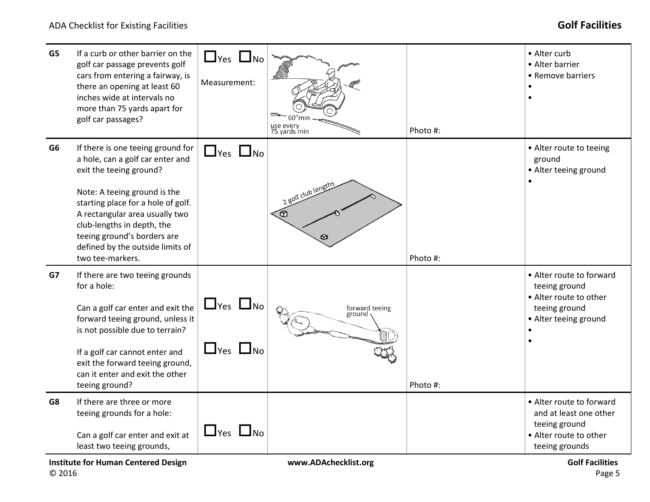| G5                | If a curb or other barrier on the<br>golf car passage prevents golf<br>cars from entering a fairway, is<br>there an opening at least 60<br>inches wide at intervals no<br>more than 75 yards apart for<br>golf car passages?                                                                                                  | $\Box$ Yes $\Box$ No<br>Measurement:         | $60$ "mir<br>use every<br>75 yards min | Photo #: | • Alter curb<br>• Alter barrier<br>• Remove barriers<br>$\bullet$                                                                         |
|-------------------|-------------------------------------------------------------------------------------------------------------------------------------------------------------------------------------------------------------------------------------------------------------------------------------------------------------------------------|----------------------------------------------|----------------------------------------|----------|-------------------------------------------------------------------------------------------------------------------------------------------|
| G <sub>6</sub>    | If there is one teeing ground for<br>a hole, can a golf car enter and<br>exit the teeing ground?<br>Note: A teeing ground is the<br>starting place for a hole of golf.<br>A rectangular area usually two<br>club-lengths in depth, the<br>teeing ground's borders are<br>defined by the outside limits of<br>two tee-markers. | $\Box$ Yes $\Box$ No                         | 2 golf club lengths<br>তি              | Photo #: | • Alter route to teeing<br>ground<br>• Alter teeing ground                                                                                |
| G7<br>for a hole: | If there are two teeing grounds<br>Can a golf car enter and exit the<br>forward teeing ground, unless it<br>is not possible due to terrain?<br>If a golf car cannot enter and<br>exit the forward teeing ground,<br>can it enter and exit the other<br>teeing ground?                                                         | $\Box$ Yes $\Box$ No<br>$\Box$ Yes $\Box$ No | forward teeing<br>ground               | Photo #: | • Alter route to forward<br>teeing ground<br>• Alter route to other<br>teeing ground<br>• Alter teeing ground                             |
| G8                | If there are three or more<br>teeing grounds for a hole:<br>Can a golf car enter and exit at<br>least two teeing grounds,<br><b>Institute for Human Centered Design</b>                                                                                                                                                       | $\Box$ Yes $\Box$ No                         | www.ADAchecklist.org                   |          | • Alter route to forward<br>and at least one other<br>teeing ground<br>• Alter route to other<br>teeing grounds<br><b>Golf Facilities</b> |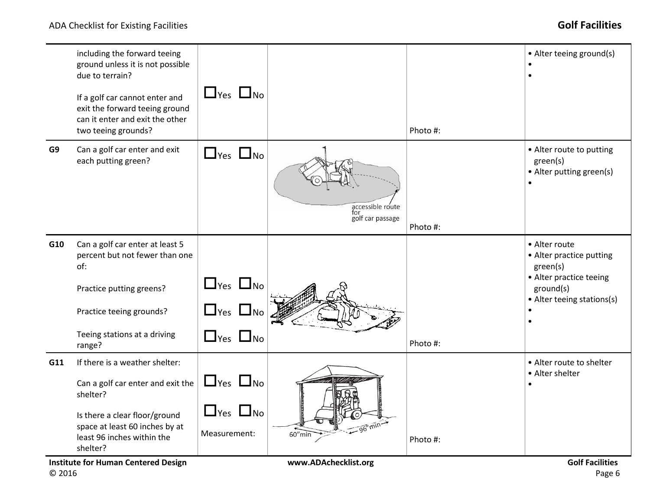|     | including the forward teeing<br>ground unless it is not possible<br>due to terrain?<br>If a golf car cannot enter and<br>exit the forward teeing ground<br>can it enter and exit the other<br>two teeing grounds?                          | $\Box$ Yes $\Box$ No                                                 |                                                   | Photo #: | • Alter teeing ground(s)                                                                                                    |
|-----|--------------------------------------------------------------------------------------------------------------------------------------------------------------------------------------------------------------------------------------------|----------------------------------------------------------------------|---------------------------------------------------|----------|-----------------------------------------------------------------------------------------------------------------------------|
| G9  | Can a golf car enter and exit<br>each putting green?                                                                                                                                                                                       | $\Box$ Yes $\Box$ No                                                 | accessible route<br>for<br>golf car passage       | Photo #: | • Alter route to putting<br>green(s)<br>• Alter putting green(s)                                                            |
| G10 | Can a golf car enter at least 5<br>percent but not fewer than one<br>of:<br>Practice putting greens?<br>Practice teeing grounds?<br>Teeing stations at a driving<br>range?                                                                 | $\Box$ Yes $\Box$ No<br>$\Box$ Yes $\Box$ No<br>$\Box$ Yes $\Box$ No |                                                   | Photo #: | • Alter route<br>• Alter practice putting<br>green(s)<br>• Alter practice teeing<br>ground(s)<br>• Alter teeing stations(s) |
| G11 | If there is a weather shelter:<br>Can a golf car enter and exit the<br>shelter?<br>Is there a clear floor/ground<br>space at least 60 inches by at<br>least 96 inches within the<br>shelter?<br><b>Institute for Human Centered Design</b> | $\Box$ Yes $\Box$ No<br>$\Box$ Yes $\Box$ No<br>Measurement:         | $-96" min-$<br>$60''$ min<br>www.ADAchecklist.org | Photo #: | • Alter route to shelter<br>• Alter shelter<br>$\bullet$<br><b>Golf Facilities</b>                                          |